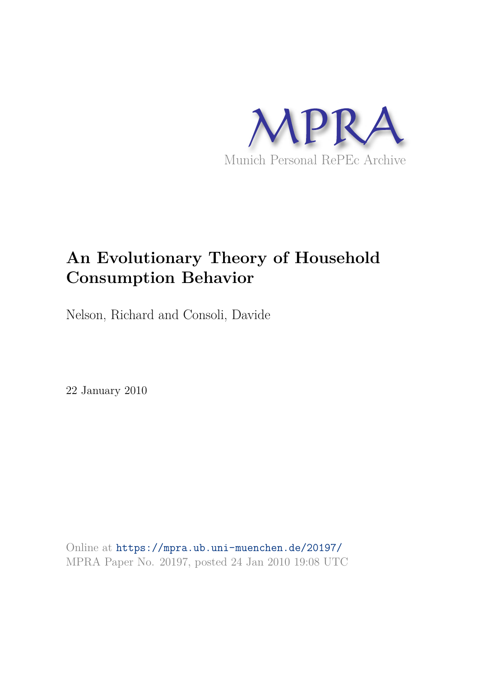

# **An Evolutionary Theory of Household Consumption Behavior**

Nelson, Richard and Consoli, Davide

22 January 2010

Online at https://mpra.ub.uni-muenchen.de/20197/ MPRA Paper No. 20197, posted 24 Jan 2010 19:08 UTC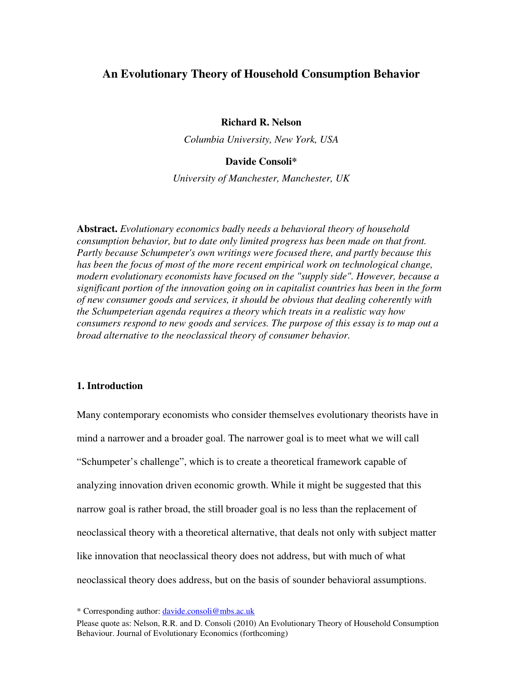# **An Evolutionary Theory of Household Consumption Behavior**

#### **Richard R. Nelson**

*Columbia University, New York, USA* 

#### **Davide Consoli\***

*University of Manchester, Manchester, UK* 

**Abstract.** *Evolutionary economics badly needs a behavioral theory of household consumption behavior, but to date only limited progress has been made on that front. Partly because Schumpeter's own writings were focused there, and partly because this has been the focus of most of the more recent empirical work on technological change, modern evolutionary economists have focused on the "supply side". However, because a significant portion of the innovation going on in capitalist countries has been in the form of new consumer goods and services, it should be obvious that dealing coherently with the Schumpeterian agenda requires a theory which treats in a realistic way how consumers respond to new goods and services. The purpose of this essay is to map out a broad alternative to the neoclassical theory of consumer behavior.* 

# **1. Introduction**

Many contemporary economists who consider themselves evolutionary theorists have in mind a narrower and a broader goal. The narrower goal is to meet what we will call "Schumpeter's challenge", which is to create a theoretical framework capable of analyzing innovation driven economic growth. While it might be suggested that this narrow goal is rather broad, the still broader goal is no less than the replacement of neoclassical theory with a theoretical alternative, that deals not only with subject matter like innovation that neoclassical theory does not address, but with much of what neoclassical theory does address, but on the basis of sounder behavioral assumptions.

<sup>\*</sup> Corresponding author: davide.consoli@mbs.ac.uk

Please quote as: Nelson, R.R. and D. Consoli (2010) An Evolutionary Theory of Household Consumption Behaviour. Journal of Evolutionary Economics (forthcoming)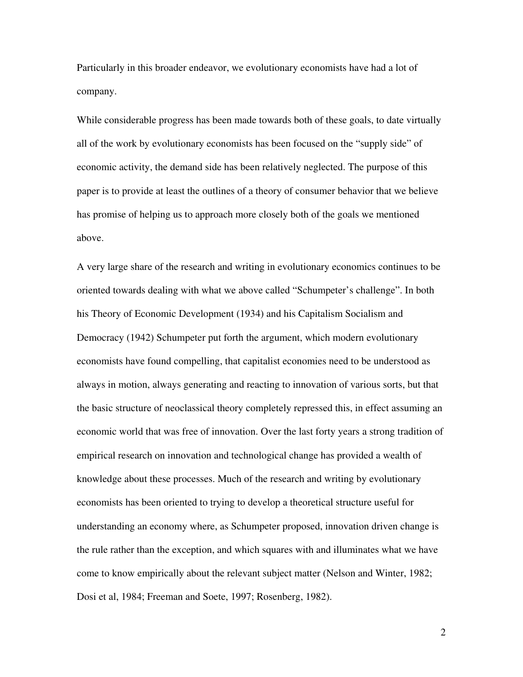Particularly in this broader endeavor, we evolutionary economists have had a lot of company.

While considerable progress has been made towards both of these goals, to date virtually all of the work by evolutionary economists has been focused on the "supply side" of economic activity, the demand side has been relatively neglected. The purpose of this paper is to provide at least the outlines of a theory of consumer behavior that we believe has promise of helping us to approach more closely both of the goals we mentioned above.

A very large share of the research and writing in evolutionary economics continues to be oriented towards dealing with what we above called "Schumpeter's challenge". In both his Theory of Economic Development (1934) and his Capitalism Socialism and Democracy (1942) Schumpeter put forth the argument, which modern evolutionary economists have found compelling, that capitalist economies need to be understood as always in motion, always generating and reacting to innovation of various sorts, but that the basic structure of neoclassical theory completely repressed this, in effect assuming an economic world that was free of innovation. Over the last forty years a strong tradition of empirical research on innovation and technological change has provided a wealth of knowledge about these processes. Much of the research and writing by evolutionary economists has been oriented to trying to develop a theoretical structure useful for understanding an economy where, as Schumpeter proposed, innovation driven change is the rule rather than the exception, and which squares with and illuminates what we have come to know empirically about the relevant subject matter (Nelson and Winter, 1982; Dosi et al, 1984; Freeman and Soete, 1997; Rosenberg, 1982).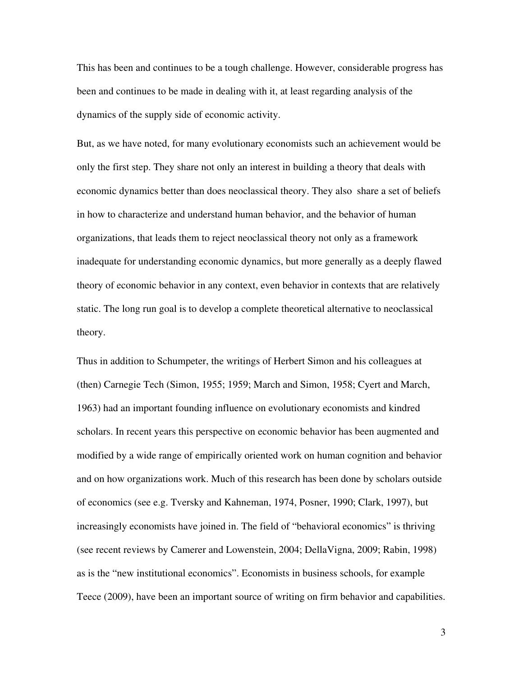This has been and continues to be a tough challenge. However, considerable progress has been and continues to be made in dealing with it, at least regarding analysis of the dynamics of the supply side of economic activity.

But, as we have noted, for many evolutionary economists such an achievement would be only the first step. They share not only an interest in building a theory that deals with economic dynamics better than does neoclassical theory. They also share a set of beliefs in how to characterize and understand human behavior, and the behavior of human organizations, that leads them to reject neoclassical theory not only as a framework inadequate for understanding economic dynamics, but more generally as a deeply flawed theory of economic behavior in any context, even behavior in contexts that are relatively static. The long run goal is to develop a complete theoretical alternative to neoclassical theory.

Thus in addition to Schumpeter, the writings of Herbert Simon and his colleagues at (then) Carnegie Tech (Simon, 1955; 1959; March and Simon, 1958; Cyert and March, 1963) had an important founding influence on evolutionary economists and kindred scholars. In recent years this perspective on economic behavior has been augmented and modified by a wide range of empirically oriented work on human cognition and behavior and on how organizations work. Much of this research has been done by scholars outside of economics (see e.g. Tversky and Kahneman, 1974, Posner, 1990; Clark, 1997), but increasingly economists have joined in. The field of "behavioral economics" is thriving (see recent reviews by Camerer and Lowenstein, 2004; DellaVigna, 2009; Rabin, 1998) as is the "new institutional economics". Economists in business schools, for example Teece (2009), have been an important source of writing on firm behavior and capabilities.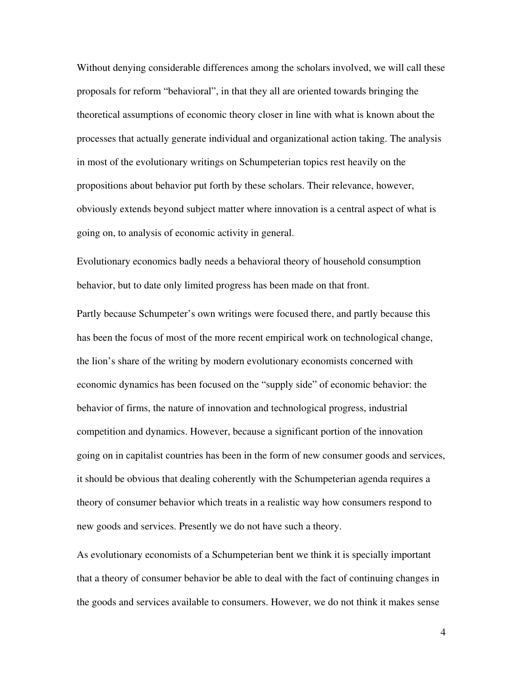Without denying considerable differences among the scholars involved, we will call these proposals for reform "behavioral", in that they all are oriented towards bringing the theoretical assumptions of economic theory closer in line with what is known about the processes that actually generate individual and organizational action taking. The analysis in most of the evolutionary writings on Schumpeterian topics rest heavily on the propositions about behavior put forth by these scholars. Their relevance, however, obviously extends beyond subject matter where innovation is a central aspect of what is going on, to analysis of economic activity in general.

Evolutionary economics badly needs a behavioral theory of household consumption behavior, but to date only limited progress has been made on that front.

Partly because Schumpeter's own writings were focused there, and partly because this has been the focus of most of the more recent empirical work on technological change, the lion's share of the writing by modern evolutionary economists concerned with economic dynamics has been focused on the "supply side" of economic behavior: the behavior of firms, the nature of innovation and technological progress, industrial competition and dynamics. However, because a significant portion of the innovation going on in capitalist countries has been in the form of new consumer goods and services, it should be obvious that dealing coherently with the Schumpeterian agenda requires a theory of consumer behavior which treats in a realistic way how consumers respond to new goods and services. Presently we do not have such a theory.

As evolutionary economists of a Schumpeterian bent we think it is specially important that a theory of consumer behavior be able to deal with the fact of continuing changes in the goods and services available to consumers. However, we do not think it makes sense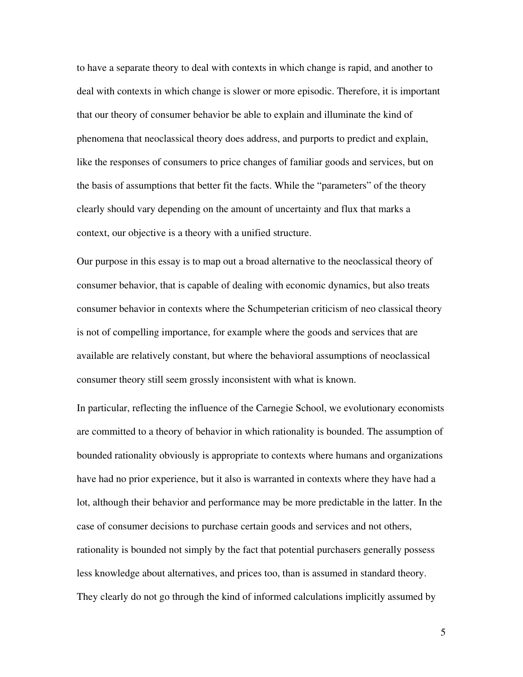to have a separate theory to deal with contexts in which change is rapid, and another to deal with contexts in which change is slower or more episodic. Therefore, it is important that our theory of consumer behavior be able to explain and illuminate the kind of phenomena that neoclassical theory does address, and purports to predict and explain, like the responses of consumers to price changes of familiar goods and services, but on the basis of assumptions that better fit the facts. While the "parameters" of the theory clearly should vary depending on the amount of uncertainty and flux that marks a context, our objective is a theory with a unified structure.

Our purpose in this essay is to map out a broad alternative to the neoclassical theory of consumer behavior, that is capable of dealing with economic dynamics, but also treats consumer behavior in contexts where the Schumpeterian criticism of neo classical theory is not of compelling importance, for example where the goods and services that are available are relatively constant, but where the behavioral assumptions of neoclassical consumer theory still seem grossly inconsistent with what is known.

In particular, reflecting the influence of the Carnegie School, we evolutionary economists are committed to a theory of behavior in which rationality is bounded. The assumption of bounded rationality obviously is appropriate to contexts where humans and organizations have had no prior experience, but it also is warranted in contexts where they have had a lot, although their behavior and performance may be more predictable in the latter. In the case of consumer decisions to purchase certain goods and services and not others, rationality is bounded not simply by the fact that potential purchasers generally possess less knowledge about alternatives, and prices too, than is assumed in standard theory. They clearly do not go through the kind of informed calculations implicitly assumed by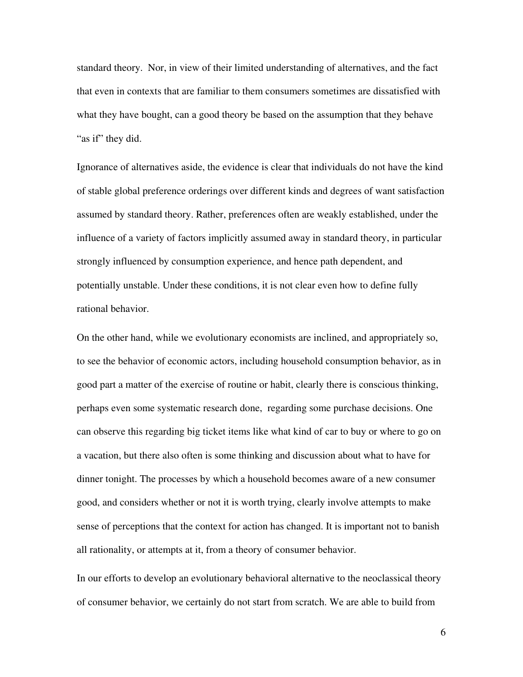standard theory. Nor, in view of their limited understanding of alternatives, and the fact that even in contexts that are familiar to them consumers sometimes are dissatisfied with what they have bought, can a good theory be based on the assumption that they behave "as if" they did.

Ignorance of alternatives aside, the evidence is clear that individuals do not have the kind of stable global preference orderings over different kinds and degrees of want satisfaction assumed by standard theory. Rather, preferences often are weakly established, under the influence of a variety of factors implicitly assumed away in standard theory, in particular strongly influenced by consumption experience, and hence path dependent, and potentially unstable. Under these conditions, it is not clear even how to define fully rational behavior.

On the other hand, while we evolutionary economists are inclined, and appropriately so, to see the behavior of economic actors, including household consumption behavior, as in good part a matter of the exercise of routine or habit, clearly there is conscious thinking, perhaps even some systematic research done, regarding some purchase decisions. One can observe this regarding big ticket items like what kind of car to buy or where to go on a vacation, but there also often is some thinking and discussion about what to have for dinner tonight. The processes by which a household becomes aware of a new consumer good, and considers whether or not it is worth trying, clearly involve attempts to make sense of perceptions that the context for action has changed. It is important not to banish all rationality, or attempts at it, from a theory of consumer behavior.

In our efforts to develop an evolutionary behavioral alternative to the neoclassical theory of consumer behavior, we certainly do not start from scratch. We are able to build from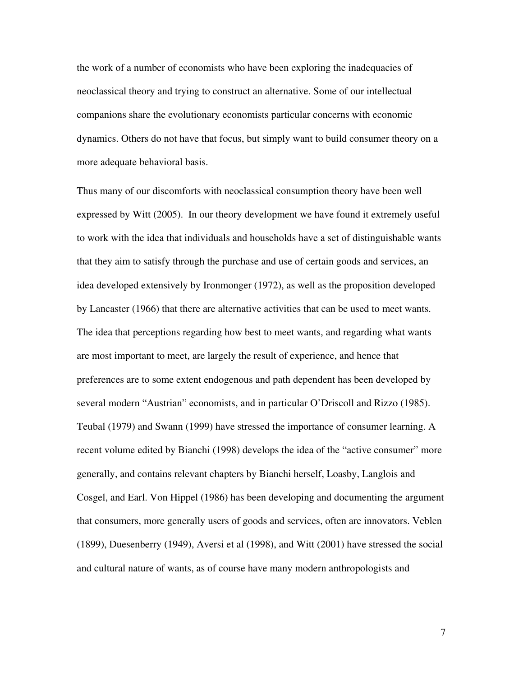the work of a number of economists who have been exploring the inadequacies of neoclassical theory and trying to construct an alternative. Some of our intellectual companions share the evolutionary economists particular concerns with economic dynamics. Others do not have that focus, but simply want to build consumer theory on a more adequate behavioral basis.

Thus many of our discomforts with neoclassical consumption theory have been well expressed by Witt (2005). In our theory development we have found it extremely useful to work with the idea that individuals and households have a set of distinguishable wants that they aim to satisfy through the purchase and use of certain goods and services, an idea developed extensively by Ironmonger (1972), as well as the proposition developed by Lancaster (1966) that there are alternative activities that can be used to meet wants. The idea that perceptions regarding how best to meet wants, and regarding what wants are most important to meet, are largely the result of experience, and hence that preferences are to some extent endogenous and path dependent has been developed by several modern "Austrian" economists, and in particular O'Driscoll and Rizzo (1985). Teubal (1979) and Swann (1999) have stressed the importance of consumer learning. A recent volume edited by Bianchi (1998) develops the idea of the "active consumer" more generally, and contains relevant chapters by Bianchi herself, Loasby, Langlois and Cosgel, and Earl. Von Hippel (1986) has been developing and documenting the argument that consumers, more generally users of goods and services, often are innovators. Veblen (1899), Duesenberry (1949), Aversi et al (1998), and Witt (2001) have stressed the social and cultural nature of wants, as of course have many modern anthropologists and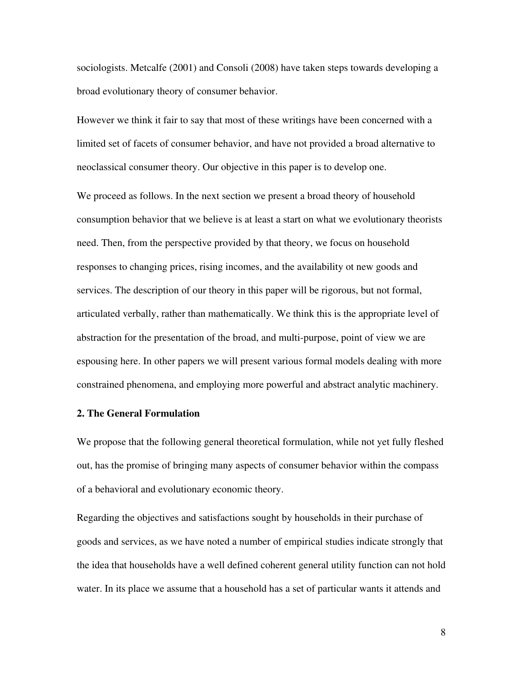sociologists. Metcalfe (2001) and Consoli (2008) have taken steps towards developing a broad evolutionary theory of consumer behavior.

However we think it fair to say that most of these writings have been concerned with a limited set of facets of consumer behavior, and have not provided a broad alternative to neoclassical consumer theory. Our objective in this paper is to develop one.

We proceed as follows. In the next section we present a broad theory of household consumption behavior that we believe is at least a start on what we evolutionary theorists need. Then, from the perspective provided by that theory, we focus on household responses to changing prices, rising incomes, and the availability ot new goods and services. The description of our theory in this paper will be rigorous, but not formal, articulated verbally, rather than mathematically. We think this is the appropriate level of abstraction for the presentation of the broad, and multi-purpose, point of view we are espousing here. In other papers we will present various formal models dealing with more constrained phenomena, and employing more powerful and abstract analytic machinery.

#### **2. The General Formulation**

We propose that the following general theoretical formulation, while not yet fully fleshed out, has the promise of bringing many aspects of consumer behavior within the compass of a behavioral and evolutionary economic theory.

Regarding the objectives and satisfactions sought by households in their purchase of goods and services, as we have noted a number of empirical studies indicate strongly that the idea that households have a well defined coherent general utility function can not hold water. In its place we assume that a household has a set of particular wants it attends and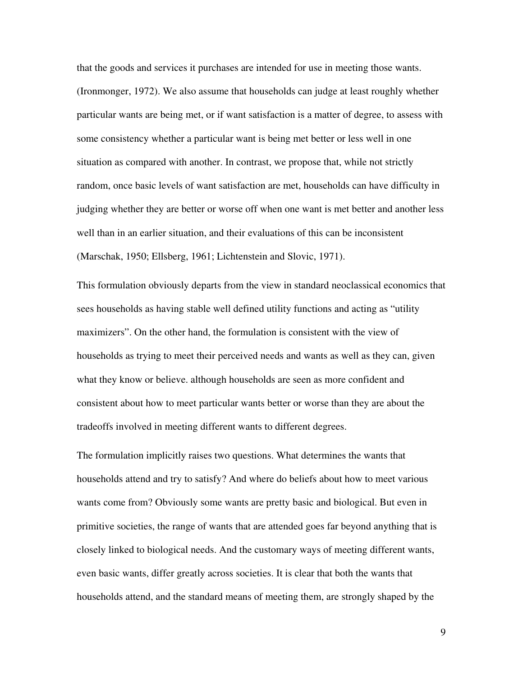that the goods and services it purchases are intended for use in meeting those wants. (Ironmonger, 1972). We also assume that households can judge at least roughly whether particular wants are being met, or if want satisfaction is a matter of degree, to assess with some consistency whether a particular want is being met better or less well in one situation as compared with another. In contrast, we propose that, while not strictly random, once basic levels of want satisfaction are met, households can have difficulty in judging whether they are better or worse off when one want is met better and another less well than in an earlier situation, and their evaluations of this can be inconsistent (Marschak, 1950; Ellsberg, 1961; Lichtenstein and Slovic, 1971).

This formulation obviously departs from the view in standard neoclassical economics that sees households as having stable well defined utility functions and acting as "utility maximizers". On the other hand, the formulation is consistent with the view of households as trying to meet their perceived needs and wants as well as they can, given what they know or believe. although households are seen as more confident and consistent about how to meet particular wants better or worse than they are about the tradeoffs involved in meeting different wants to different degrees.

The formulation implicitly raises two questions. What determines the wants that households attend and try to satisfy? And where do beliefs about how to meet various wants come from? Obviously some wants are pretty basic and biological. But even in primitive societies, the range of wants that are attended goes far beyond anything that is closely linked to biological needs. And the customary ways of meeting different wants, even basic wants, differ greatly across societies. It is clear that both the wants that households attend, and the standard means of meeting them, are strongly shaped by the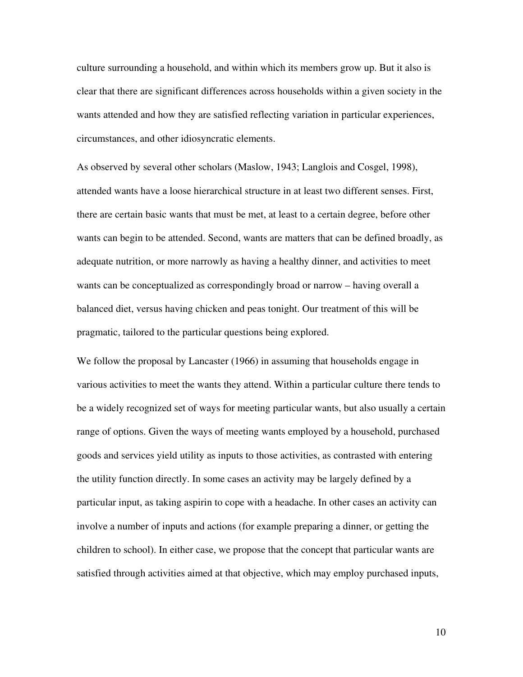culture surrounding a household, and within which its members grow up. But it also is clear that there are significant differences across households within a given society in the wants attended and how they are satisfied reflecting variation in particular experiences, circumstances, and other idiosyncratic elements.

As observed by several other scholars (Maslow, 1943; Langlois and Cosgel, 1998), attended wants have a loose hierarchical structure in at least two different senses. First, there are certain basic wants that must be met, at least to a certain degree, before other wants can begin to be attended. Second, wants are matters that can be defined broadly, as adequate nutrition, or more narrowly as having a healthy dinner, and activities to meet wants can be conceptualized as correspondingly broad or narrow – having overall a balanced diet, versus having chicken and peas tonight. Our treatment of this will be pragmatic, tailored to the particular questions being explored.

We follow the proposal by Lancaster (1966) in assuming that households engage in various activities to meet the wants they attend. Within a particular culture there tends to be a widely recognized set of ways for meeting particular wants, but also usually a certain range of options. Given the ways of meeting wants employed by a household, purchased goods and services yield utility as inputs to those activities, as contrasted with entering the utility function directly. In some cases an activity may be largely defined by a particular input, as taking aspirin to cope with a headache. In other cases an activity can involve a number of inputs and actions (for example preparing a dinner, or getting the children to school). In either case, we propose that the concept that particular wants are satisfied through activities aimed at that objective, which may employ purchased inputs,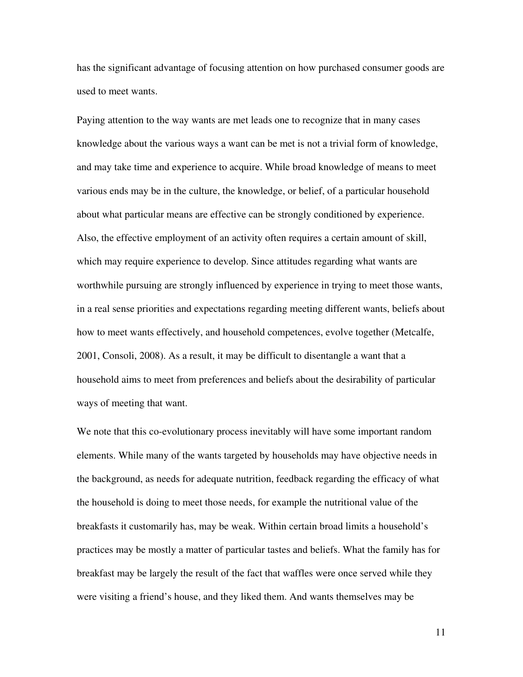has the significant advantage of focusing attention on how purchased consumer goods are used to meet wants.

Paying attention to the way wants are met leads one to recognize that in many cases knowledge about the various ways a want can be met is not a trivial form of knowledge, and may take time and experience to acquire. While broad knowledge of means to meet various ends may be in the culture, the knowledge, or belief, of a particular household about what particular means are effective can be strongly conditioned by experience. Also, the effective employment of an activity often requires a certain amount of skill, which may require experience to develop. Since attitudes regarding what wants are worthwhile pursuing are strongly influenced by experience in trying to meet those wants, in a real sense priorities and expectations regarding meeting different wants, beliefs about how to meet wants effectively, and household competences, evolve together (Metcalfe, 2001, Consoli, 2008). As a result, it may be difficult to disentangle a want that a household aims to meet from preferences and beliefs about the desirability of particular ways of meeting that want.

We note that this co-evolutionary process inevitably will have some important random elements. While many of the wants targeted by households may have objective needs in the background, as needs for adequate nutrition, feedback regarding the efficacy of what the household is doing to meet those needs, for example the nutritional value of the breakfasts it customarily has, may be weak. Within certain broad limits a household's practices may be mostly a matter of particular tastes and beliefs. What the family has for breakfast may be largely the result of the fact that waffles were once served while they were visiting a friend's house, and they liked them. And wants themselves may be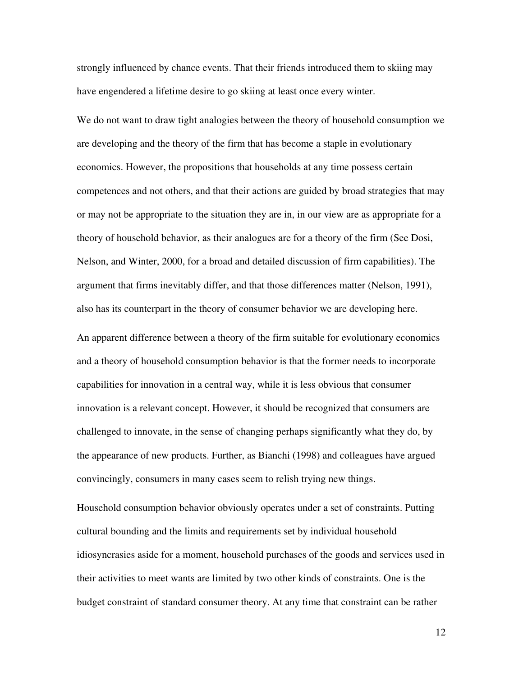strongly influenced by chance events. That their friends introduced them to skiing may have engendered a lifetime desire to go skiing at least once every winter.

We do not want to draw tight analogies between the theory of household consumption we are developing and the theory of the firm that has become a staple in evolutionary economics. However, the propositions that households at any time possess certain competences and not others, and that their actions are guided by broad strategies that may or may not be appropriate to the situation they are in, in our view are as appropriate for a theory of household behavior, as their analogues are for a theory of the firm (See Dosi, Nelson, and Winter, 2000, for a broad and detailed discussion of firm capabilities). The argument that firms inevitably differ, and that those differences matter (Nelson, 1991), also has its counterpart in the theory of consumer behavior we are developing here.

An apparent difference between a theory of the firm suitable for evolutionary economics and a theory of household consumption behavior is that the former needs to incorporate capabilities for innovation in a central way, while it is less obvious that consumer innovation is a relevant concept. However, it should be recognized that consumers are challenged to innovate, in the sense of changing perhaps significantly what they do, by the appearance of new products. Further, as Bianchi (1998) and colleagues have argued convincingly, consumers in many cases seem to relish trying new things.

Household consumption behavior obviously operates under a set of constraints. Putting cultural bounding and the limits and requirements set by individual household idiosyncrasies aside for a moment, household purchases of the goods and services used in their activities to meet wants are limited by two other kinds of constraints. One is the budget constraint of standard consumer theory. At any time that constraint can be rather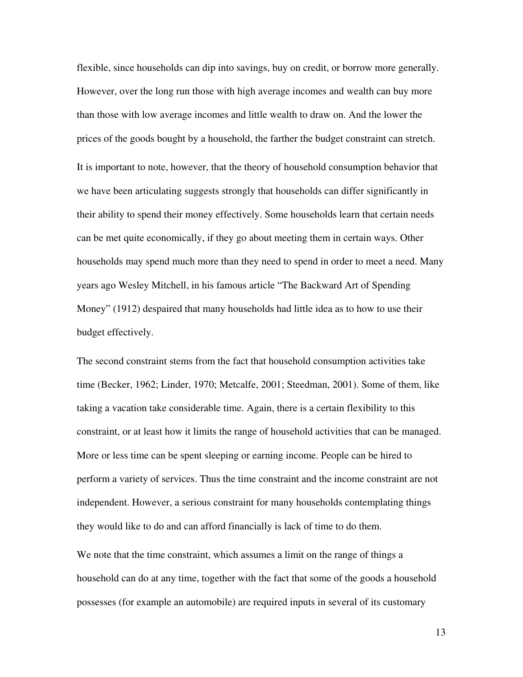flexible, since households can dip into savings, buy on credit, or borrow more generally. However, over the long run those with high average incomes and wealth can buy more than those with low average incomes and little wealth to draw on. And the lower the prices of the goods bought by a household, the farther the budget constraint can stretch. It is important to note, however, that the theory of household consumption behavior that we have been articulating suggests strongly that households can differ significantly in their ability to spend their money effectively. Some households learn that certain needs can be met quite economically, if they go about meeting them in certain ways. Other households may spend much more than they need to spend in order to meet a need. Many years ago Wesley Mitchell, in his famous article "The Backward Art of Spending Money" (1912) despaired that many households had little idea as to how to use their budget effectively.

The second constraint stems from the fact that household consumption activities take time (Becker, 1962; Linder, 1970; Metcalfe, 2001; Steedman, 2001). Some of them, like taking a vacation take considerable time. Again, there is a certain flexibility to this constraint, or at least how it limits the range of household activities that can be managed. More or less time can be spent sleeping or earning income. People can be hired to perform a variety of services. Thus the time constraint and the income constraint are not independent. However, a serious constraint for many households contemplating things they would like to do and can afford financially is lack of time to do them.

We note that the time constraint, which assumes a limit on the range of things a household can do at any time, together with the fact that some of the goods a household possesses (for example an automobile) are required inputs in several of its customary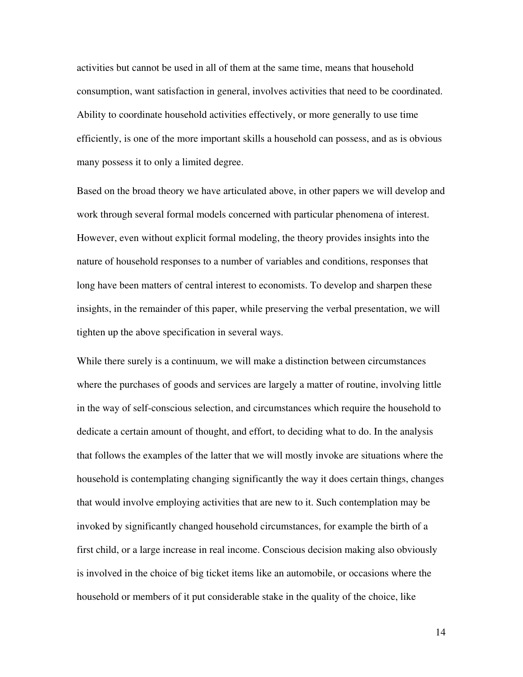activities but cannot be used in all of them at the same time, means that household consumption, want satisfaction in general, involves activities that need to be coordinated. Ability to coordinate household activities effectively, or more generally to use time efficiently, is one of the more important skills a household can possess, and as is obvious many possess it to only a limited degree.

Based on the broad theory we have articulated above, in other papers we will develop and work through several formal models concerned with particular phenomena of interest. However, even without explicit formal modeling, the theory provides insights into the nature of household responses to a number of variables and conditions, responses that long have been matters of central interest to economists. To develop and sharpen these insights, in the remainder of this paper, while preserving the verbal presentation, we will tighten up the above specification in several ways.

While there surely is a continuum, we will make a distinction between circumstances where the purchases of goods and services are largely a matter of routine, involving little in the way of self-conscious selection, and circumstances which require the household to dedicate a certain amount of thought, and effort, to deciding what to do. In the analysis that follows the examples of the latter that we will mostly invoke are situations where the household is contemplating changing significantly the way it does certain things, changes that would involve employing activities that are new to it. Such contemplation may be invoked by significantly changed household circumstances, for example the birth of a first child, or a large increase in real income. Conscious decision making also obviously is involved in the choice of big ticket items like an automobile, or occasions where the household or members of it put considerable stake in the quality of the choice, like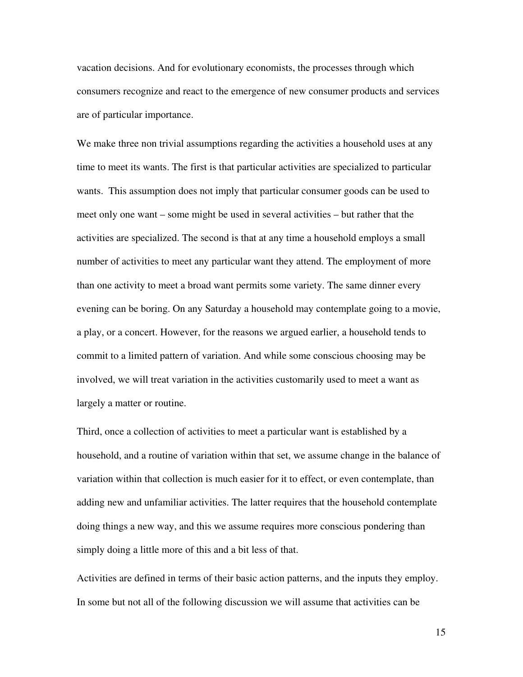vacation decisions. And for evolutionary economists, the processes through which consumers recognize and react to the emergence of new consumer products and services are of particular importance.

We make three non trivial assumptions regarding the activities a household uses at any time to meet its wants. The first is that particular activities are specialized to particular wants. This assumption does not imply that particular consumer goods can be used to meet only one want – some might be used in several activities – but rather that the activities are specialized. The second is that at any time a household employs a small number of activities to meet any particular want they attend. The employment of more than one activity to meet a broad want permits some variety. The same dinner every evening can be boring. On any Saturday a household may contemplate going to a movie, a play, or a concert. However, for the reasons we argued earlier, a household tends to commit to a limited pattern of variation. And while some conscious choosing may be involved, we will treat variation in the activities customarily used to meet a want as largely a matter or routine.

Third, once a collection of activities to meet a particular want is established by a household, and a routine of variation within that set, we assume change in the balance of variation within that collection is much easier for it to effect, or even contemplate, than adding new and unfamiliar activities. The latter requires that the household contemplate doing things a new way, and this we assume requires more conscious pondering than simply doing a little more of this and a bit less of that.

Activities are defined in terms of their basic action patterns, and the inputs they employ. In some but not all of the following discussion we will assume that activities can be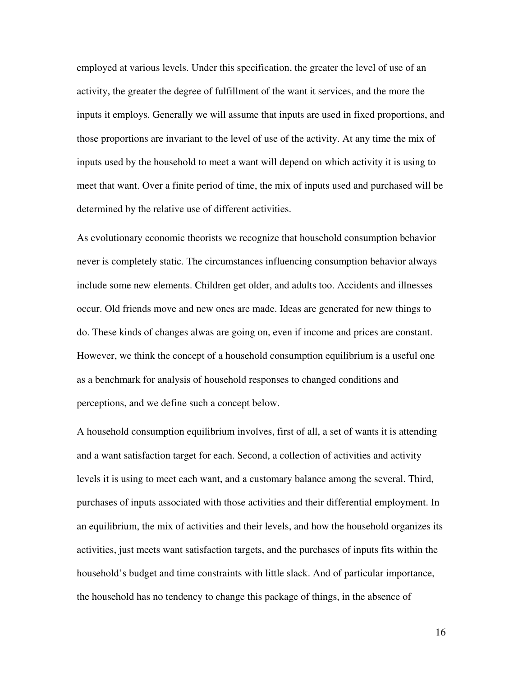employed at various levels. Under this specification, the greater the level of use of an activity, the greater the degree of fulfillment of the want it services, and the more the inputs it employs. Generally we will assume that inputs are used in fixed proportions, and those proportions are invariant to the level of use of the activity. At any time the mix of inputs used by the household to meet a want will depend on which activity it is using to meet that want. Over a finite period of time, the mix of inputs used and purchased will be determined by the relative use of different activities.

As evolutionary economic theorists we recognize that household consumption behavior never is completely static. The circumstances influencing consumption behavior always include some new elements. Children get older, and adults too. Accidents and illnesses occur. Old friends move and new ones are made. Ideas are generated for new things to do. These kinds of changes alwas are going on, even if income and prices are constant. However, we think the concept of a household consumption equilibrium is a useful one as a benchmark for analysis of household responses to changed conditions and perceptions, and we define such a concept below.

A household consumption equilibrium involves, first of all, a set of wants it is attending and a want satisfaction target for each. Second, a collection of activities and activity levels it is using to meet each want, and a customary balance among the several. Third, purchases of inputs associated with those activities and their differential employment. In an equilibrium, the mix of activities and their levels, and how the household organizes its activities, just meets want satisfaction targets, and the purchases of inputs fits within the household's budget and time constraints with little slack. And of particular importance, the household has no tendency to change this package of things, in the absence of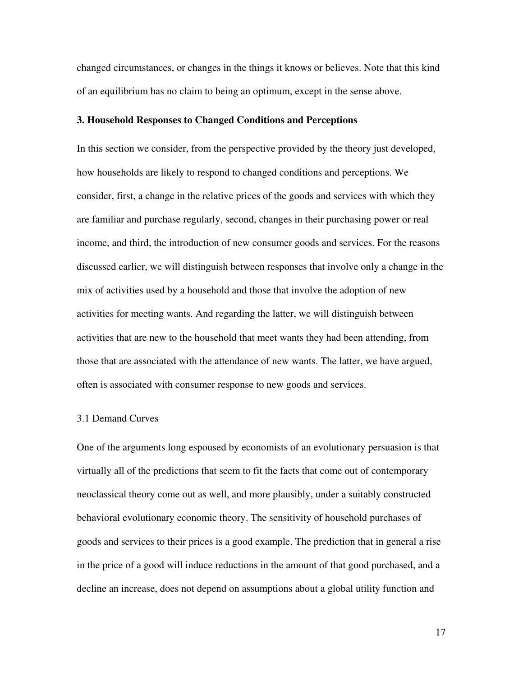changed circumstances, or changes in the things it knows or believes. Note that this kind of an equilibrium has no claim to being an optimum, except in the sense above.

#### **3. Household Responses to Changed Conditions and Perceptions**

In this section we consider, from the perspective provided by the theory just developed, how households are likely to respond to changed conditions and perceptions. We consider, first, a change in the relative prices of the goods and services with which they are familiar and purchase regularly, second, changes in their purchasing power or real income, and third, the introduction of new consumer goods and services. For the reasons discussed earlier, we will distinguish between responses that involve only a change in the mix of activities used by a household and those that involve the adoption of new activities for meeting wants. And regarding the latter, we will distinguish between activities that are new to the household that meet wants they had been attending, from those that are associated with the attendance of new wants. The latter, we have argued, often is associated with consumer response to new goods and services.

## 3.1 Demand Curves

One of the arguments long espoused by economists of an evolutionary persuasion is that virtually all of the predictions that seem to fit the facts that come out of contemporary neoclassical theory come out as well, and more plausibly, under a suitably constructed behavioral evolutionary economic theory. The sensitivity of household purchases of goods and services to their prices is a good example. The prediction that in general a rise in the price of a good will induce reductions in the amount of that good purchased, and a decline an increase, does not depend on assumptions about a global utility function and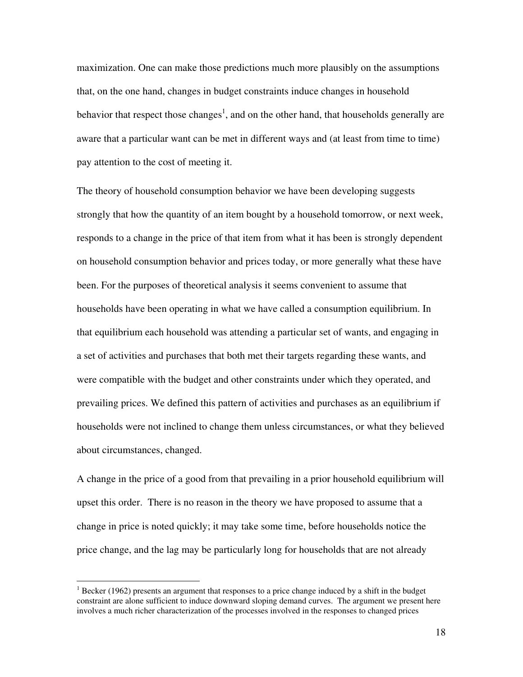maximization. One can make those predictions much more plausibly on the assumptions that, on the one hand, changes in budget constraints induce changes in household behavior that respect those changes<sup>1</sup>, and on the other hand, that households generally are aware that a particular want can be met in different ways and (at least from time to time) pay attention to the cost of meeting it.

The theory of household consumption behavior we have been developing suggests strongly that how the quantity of an item bought by a household tomorrow, or next week, responds to a change in the price of that item from what it has been is strongly dependent on household consumption behavior and prices today, or more generally what these have been. For the purposes of theoretical analysis it seems convenient to assume that households have been operating in what we have called a consumption equilibrium. In that equilibrium each household was attending a particular set of wants, and engaging in a set of activities and purchases that both met their targets regarding these wants, and were compatible with the budget and other constraints under which they operated, and prevailing prices. We defined this pattern of activities and purchases as an equilibrium if households were not inclined to change them unless circumstances, or what they believed about circumstances, changed.

A change in the price of a good from that prevailing in a prior household equilibrium will upset this order. There is no reason in the theory we have proposed to assume that a change in price is noted quickly; it may take some time, before households notice the price change, and the lag may be particularly long for households that are not already

-

 $1$  Becker (1962) presents an argument that responses to a price change induced by a shift in the budget constraint are alone sufficient to induce downward sloping demand curves. The argument we present here involves a much richer characterization of the processes involved in the responses to changed prices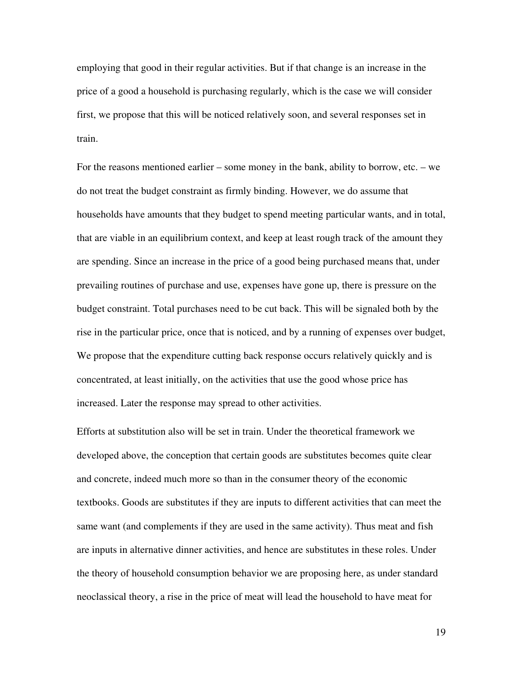employing that good in their regular activities. But if that change is an increase in the price of a good a household is purchasing regularly, which is the case we will consider first, we propose that this will be noticed relatively soon, and several responses set in train.

For the reasons mentioned earlier – some money in the bank, ability to borrow, etc. – we do not treat the budget constraint as firmly binding. However, we do assume that households have amounts that they budget to spend meeting particular wants, and in total, that are viable in an equilibrium context, and keep at least rough track of the amount they are spending. Since an increase in the price of a good being purchased means that, under prevailing routines of purchase and use, expenses have gone up, there is pressure on the budget constraint. Total purchases need to be cut back. This will be signaled both by the rise in the particular price, once that is noticed, and by a running of expenses over budget, We propose that the expenditure cutting back response occurs relatively quickly and is concentrated, at least initially, on the activities that use the good whose price has increased. Later the response may spread to other activities.

Efforts at substitution also will be set in train. Under the theoretical framework we developed above, the conception that certain goods are substitutes becomes quite clear and concrete, indeed much more so than in the consumer theory of the economic textbooks. Goods are substitutes if they are inputs to different activities that can meet the same want (and complements if they are used in the same activity). Thus meat and fish are inputs in alternative dinner activities, and hence are substitutes in these roles. Under the theory of household consumption behavior we are proposing here, as under standard neoclassical theory, a rise in the price of meat will lead the household to have meat for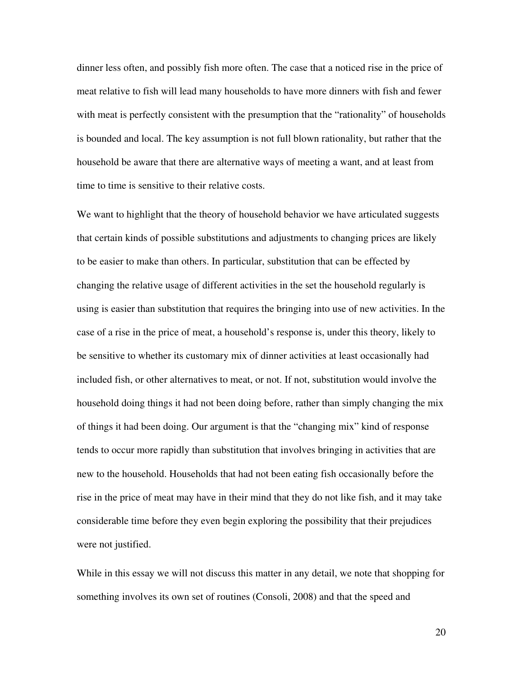dinner less often, and possibly fish more often. The case that a noticed rise in the price of meat relative to fish will lead many households to have more dinners with fish and fewer with meat is perfectly consistent with the presumption that the "rationality" of households is bounded and local. The key assumption is not full blown rationality, but rather that the household be aware that there are alternative ways of meeting a want, and at least from time to time is sensitive to their relative costs.

We want to highlight that the theory of household behavior we have articulated suggests that certain kinds of possible substitutions and adjustments to changing prices are likely to be easier to make than others. In particular, substitution that can be effected by changing the relative usage of different activities in the set the household regularly is using is easier than substitution that requires the bringing into use of new activities. In the case of a rise in the price of meat, a household's response is, under this theory, likely to be sensitive to whether its customary mix of dinner activities at least occasionally had included fish, or other alternatives to meat, or not. If not, substitution would involve the household doing things it had not been doing before, rather than simply changing the mix of things it had been doing. Our argument is that the "changing mix" kind of response tends to occur more rapidly than substitution that involves bringing in activities that are new to the household. Households that had not been eating fish occasionally before the rise in the price of meat may have in their mind that they do not like fish, and it may take considerable time before they even begin exploring the possibility that their prejudices were not justified.

While in this essay we will not discuss this matter in any detail, we note that shopping for something involves its own set of routines (Consoli, 2008) and that the speed and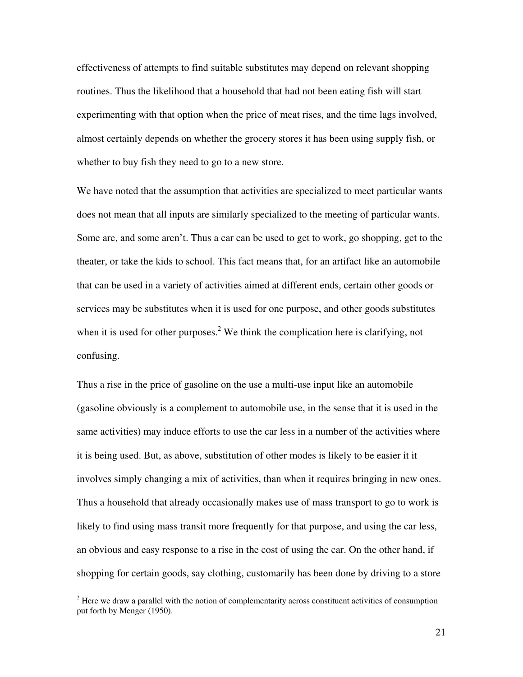effectiveness of attempts to find suitable substitutes may depend on relevant shopping routines. Thus the likelihood that a household that had not been eating fish will start experimenting with that option when the price of meat rises, and the time lags involved, almost certainly depends on whether the grocery stores it has been using supply fish, or whether to buy fish they need to go to a new store.

We have noted that the assumption that activities are specialized to meet particular wants does not mean that all inputs are similarly specialized to the meeting of particular wants. Some are, and some aren't. Thus a car can be used to get to work, go shopping, get to the theater, or take the kids to school. This fact means that, for an artifact like an automobile that can be used in a variety of activities aimed at different ends, certain other goods or services may be substitutes when it is used for one purpose, and other goods substitutes when it is used for other purposes.<sup>2</sup> We think the complication here is clarifying, not confusing.

Thus a rise in the price of gasoline on the use a multi-use input like an automobile (gasoline obviously is a complement to automobile use, in the sense that it is used in the same activities) may induce efforts to use the car less in a number of the activities where it is being used. But, as above, substitution of other modes is likely to be easier it it involves simply changing a mix of activities, than when it requires bringing in new ones. Thus a household that already occasionally makes use of mass transport to go to work is likely to find using mass transit more frequently for that purpose, and using the car less, an obvious and easy response to a rise in the cost of using the car. On the other hand, if shopping for certain goods, say clothing, customarily has been done by driving to a store

-

 $2<sup>2</sup>$  Here we draw a parallel with the notion of complementarity across constituent activities of consumption put forth by Menger (1950).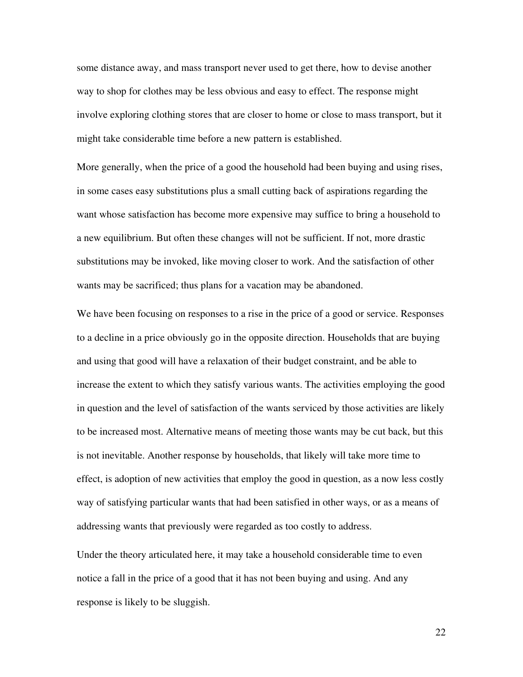some distance away, and mass transport never used to get there, how to devise another way to shop for clothes may be less obvious and easy to effect. The response might involve exploring clothing stores that are closer to home or close to mass transport, but it might take considerable time before a new pattern is established.

More generally, when the price of a good the household had been buying and using rises, in some cases easy substitutions plus a small cutting back of aspirations regarding the want whose satisfaction has become more expensive may suffice to bring a household to a new equilibrium. But often these changes will not be sufficient. If not, more drastic substitutions may be invoked, like moving closer to work. And the satisfaction of other wants may be sacrificed; thus plans for a vacation may be abandoned.

We have been focusing on responses to a rise in the price of a good or service. Responses to a decline in a price obviously go in the opposite direction. Households that are buying and using that good will have a relaxation of their budget constraint, and be able to increase the extent to which they satisfy various wants. The activities employing the good in question and the level of satisfaction of the wants serviced by those activities are likely to be increased most. Alternative means of meeting those wants may be cut back, but this is not inevitable. Another response by households, that likely will take more time to effect, is adoption of new activities that employ the good in question, as a now less costly way of satisfying particular wants that had been satisfied in other ways, or as a means of addressing wants that previously were regarded as too costly to address.

Under the theory articulated here, it may take a household considerable time to even notice a fall in the price of a good that it has not been buying and using. And any response is likely to be sluggish.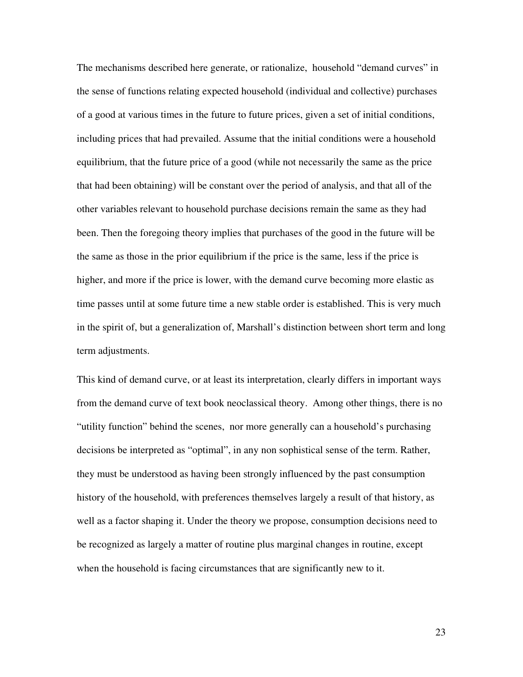The mechanisms described here generate, or rationalize, household "demand curves" in the sense of functions relating expected household (individual and collective) purchases of a good at various times in the future to future prices, given a set of initial conditions, including prices that had prevailed. Assume that the initial conditions were a household equilibrium, that the future price of a good (while not necessarily the same as the price that had been obtaining) will be constant over the period of analysis, and that all of the other variables relevant to household purchase decisions remain the same as they had been. Then the foregoing theory implies that purchases of the good in the future will be the same as those in the prior equilibrium if the price is the same, less if the price is higher, and more if the price is lower, with the demand curve becoming more elastic as time passes until at some future time a new stable order is established. This is very much in the spirit of, but a generalization of, Marshall's distinction between short term and long term adjustments.

This kind of demand curve, or at least its interpretation, clearly differs in important ways from the demand curve of text book neoclassical theory. Among other things, there is no "utility function" behind the scenes, nor more generally can a household's purchasing decisions be interpreted as "optimal", in any non sophistical sense of the term. Rather, they must be understood as having been strongly influenced by the past consumption history of the household, with preferences themselves largely a result of that history, as well as a factor shaping it. Under the theory we propose, consumption decisions need to be recognized as largely a matter of routine plus marginal changes in routine, except when the household is facing circumstances that are significantly new to it.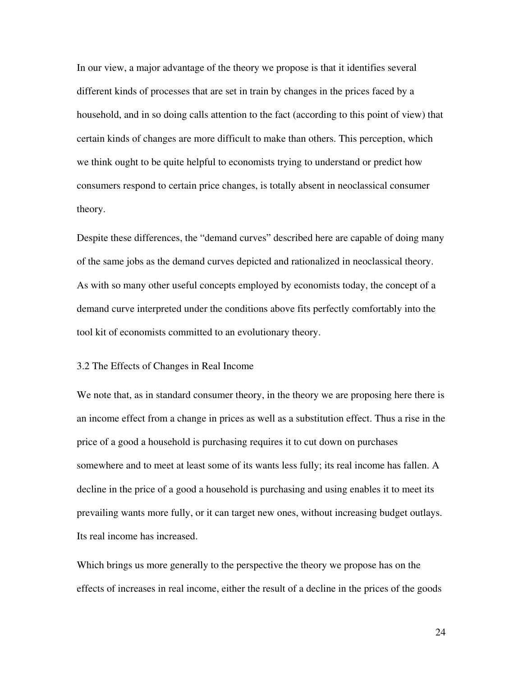In our view, a major advantage of the theory we propose is that it identifies several different kinds of processes that are set in train by changes in the prices faced by a household, and in so doing calls attention to the fact (according to this point of view) that certain kinds of changes are more difficult to make than others. This perception, which we think ought to be quite helpful to economists trying to understand or predict how consumers respond to certain price changes, is totally absent in neoclassical consumer theory.

Despite these differences, the "demand curves" described here are capable of doing many of the same jobs as the demand curves depicted and rationalized in neoclassical theory. As with so many other useful concepts employed by economists today, the concept of a demand curve interpreted under the conditions above fits perfectly comfortably into the tool kit of economists committed to an evolutionary theory.

#### 3.2 The Effects of Changes in Real Income

We note that, as in standard consumer theory, in the theory we are proposing here there is an income effect from a change in prices as well as a substitution effect. Thus a rise in the price of a good a household is purchasing requires it to cut down on purchases somewhere and to meet at least some of its wants less fully; its real income has fallen. A decline in the price of a good a household is purchasing and using enables it to meet its prevailing wants more fully, or it can target new ones, without increasing budget outlays. Its real income has increased.

Which brings us more generally to the perspective the theory we propose has on the effects of increases in real income, either the result of a decline in the prices of the goods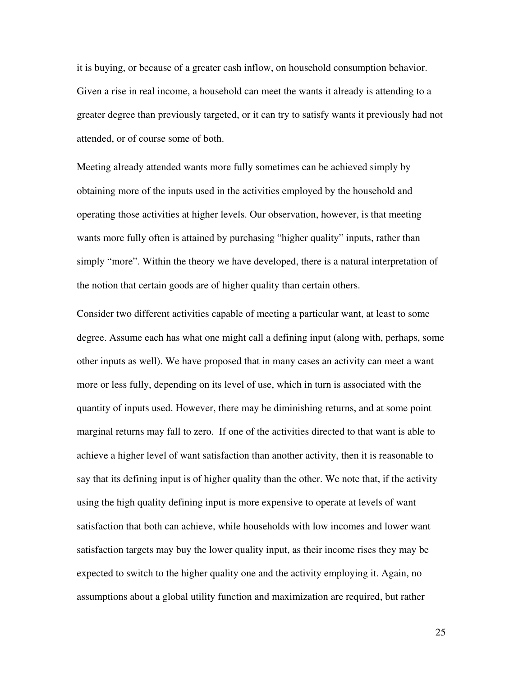it is buying, or because of a greater cash inflow, on household consumption behavior. Given a rise in real income, a household can meet the wants it already is attending to a greater degree than previously targeted, or it can try to satisfy wants it previously had not attended, or of course some of both.

Meeting already attended wants more fully sometimes can be achieved simply by obtaining more of the inputs used in the activities employed by the household and operating those activities at higher levels. Our observation, however, is that meeting wants more fully often is attained by purchasing "higher quality" inputs, rather than simply "more". Within the theory we have developed, there is a natural interpretation of the notion that certain goods are of higher quality than certain others.

Consider two different activities capable of meeting a particular want, at least to some degree. Assume each has what one might call a defining input (along with, perhaps, some other inputs as well). We have proposed that in many cases an activity can meet a want more or less fully, depending on its level of use, which in turn is associated with the quantity of inputs used. However, there may be diminishing returns, and at some point marginal returns may fall to zero. If one of the activities directed to that want is able to achieve a higher level of want satisfaction than another activity, then it is reasonable to say that its defining input is of higher quality than the other. We note that, if the activity using the high quality defining input is more expensive to operate at levels of want satisfaction that both can achieve, while households with low incomes and lower want satisfaction targets may buy the lower quality input, as their income rises they may be expected to switch to the higher quality one and the activity employing it. Again, no assumptions about a global utility function and maximization are required, but rather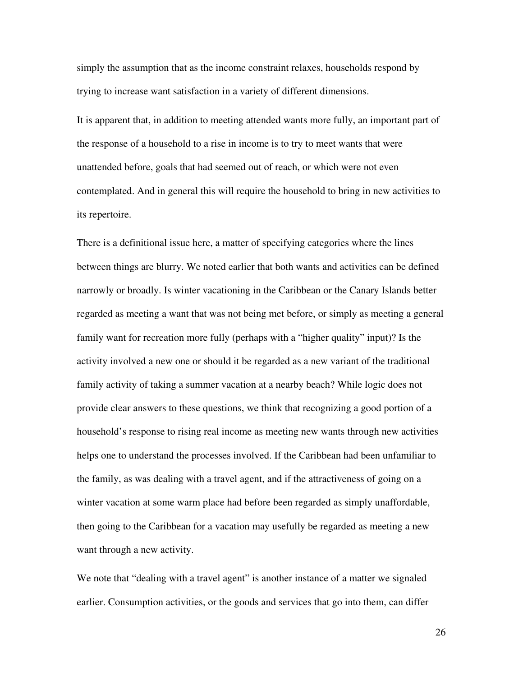simply the assumption that as the income constraint relaxes, households respond by trying to increase want satisfaction in a variety of different dimensions.

It is apparent that, in addition to meeting attended wants more fully, an important part of the response of a household to a rise in income is to try to meet wants that were unattended before, goals that had seemed out of reach, or which were not even contemplated. And in general this will require the household to bring in new activities to its repertoire.

There is a definitional issue here, a matter of specifying categories where the lines between things are blurry. We noted earlier that both wants and activities can be defined narrowly or broadly. Is winter vacationing in the Caribbean or the Canary Islands better regarded as meeting a want that was not being met before, or simply as meeting a general family want for recreation more fully (perhaps with a "higher quality" input)? Is the activity involved a new one or should it be regarded as a new variant of the traditional family activity of taking a summer vacation at a nearby beach? While logic does not provide clear answers to these questions, we think that recognizing a good portion of a household's response to rising real income as meeting new wants through new activities helps one to understand the processes involved. If the Caribbean had been unfamiliar to the family, as was dealing with a travel agent, and if the attractiveness of going on a winter vacation at some warm place had before been regarded as simply unaffordable, then going to the Caribbean for a vacation may usefully be regarded as meeting a new want through a new activity.

We note that "dealing with a travel agent" is another instance of a matter we signaled earlier. Consumption activities, or the goods and services that go into them, can differ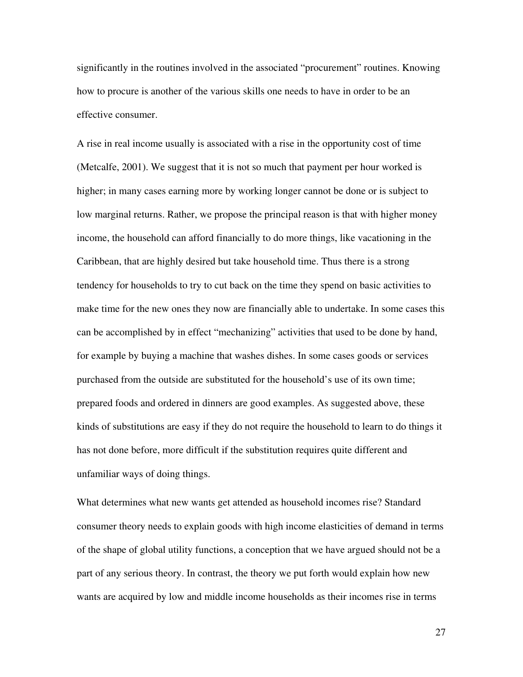significantly in the routines involved in the associated "procurement" routines. Knowing how to procure is another of the various skills one needs to have in order to be an effective consumer.

A rise in real income usually is associated with a rise in the opportunity cost of time (Metcalfe, 2001). We suggest that it is not so much that payment per hour worked is higher; in many cases earning more by working longer cannot be done or is subject to low marginal returns. Rather, we propose the principal reason is that with higher money income, the household can afford financially to do more things, like vacationing in the Caribbean, that are highly desired but take household time. Thus there is a strong tendency for households to try to cut back on the time they spend on basic activities to make time for the new ones they now are financially able to undertake. In some cases this can be accomplished by in effect "mechanizing" activities that used to be done by hand, for example by buying a machine that washes dishes. In some cases goods or services purchased from the outside are substituted for the household's use of its own time; prepared foods and ordered in dinners are good examples. As suggested above, these kinds of substitutions are easy if they do not require the household to learn to do things it has not done before, more difficult if the substitution requires quite different and unfamiliar ways of doing things.

What determines what new wants get attended as household incomes rise? Standard consumer theory needs to explain goods with high income elasticities of demand in terms of the shape of global utility functions, a conception that we have argued should not be a part of any serious theory. In contrast, the theory we put forth would explain how new wants are acquired by low and middle income households as their incomes rise in terms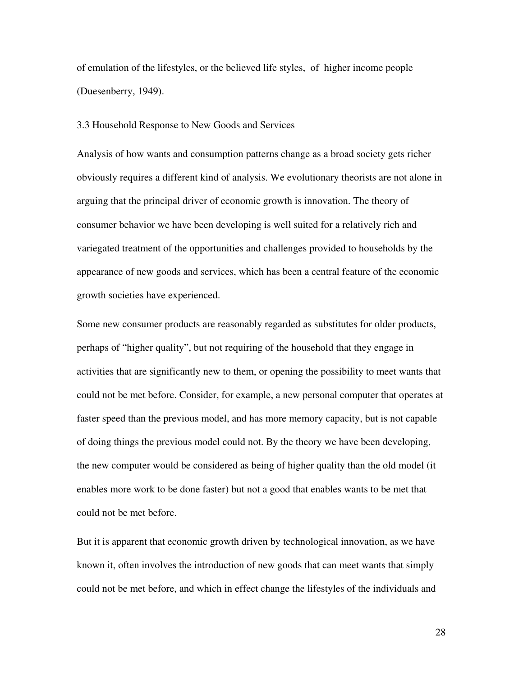of emulation of the lifestyles, or the believed life styles, of higher income people (Duesenberry, 1949).

3.3 Household Response to New Goods and Services

Analysis of how wants and consumption patterns change as a broad society gets richer obviously requires a different kind of analysis. We evolutionary theorists are not alone in arguing that the principal driver of economic growth is innovation. The theory of consumer behavior we have been developing is well suited for a relatively rich and variegated treatment of the opportunities and challenges provided to households by the appearance of new goods and services, which has been a central feature of the economic growth societies have experienced.

Some new consumer products are reasonably regarded as substitutes for older products, perhaps of "higher quality", but not requiring of the household that they engage in activities that are significantly new to them, or opening the possibility to meet wants that could not be met before. Consider, for example, a new personal computer that operates at faster speed than the previous model, and has more memory capacity, but is not capable of doing things the previous model could not. By the theory we have been developing, the new computer would be considered as being of higher quality than the old model (it enables more work to be done faster) but not a good that enables wants to be met that could not be met before.

But it is apparent that economic growth driven by technological innovation, as we have known it, often involves the introduction of new goods that can meet wants that simply could not be met before, and which in effect change the lifestyles of the individuals and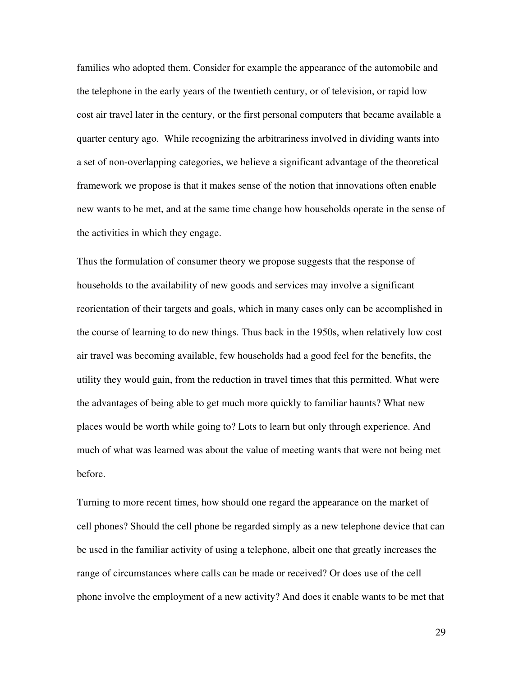families who adopted them. Consider for example the appearance of the automobile and the telephone in the early years of the twentieth century, or of television, or rapid low cost air travel later in the century, or the first personal computers that became available a quarter century ago. While recognizing the arbitrariness involved in dividing wants into a set of non-overlapping categories, we believe a significant advantage of the theoretical framework we propose is that it makes sense of the notion that innovations often enable new wants to be met, and at the same time change how households operate in the sense of the activities in which they engage.

Thus the formulation of consumer theory we propose suggests that the response of households to the availability of new goods and services may involve a significant reorientation of their targets and goals, which in many cases only can be accomplished in the course of learning to do new things. Thus back in the 1950s, when relatively low cost air travel was becoming available, few households had a good feel for the benefits, the utility they would gain, from the reduction in travel times that this permitted. What were the advantages of being able to get much more quickly to familiar haunts? What new places would be worth while going to? Lots to learn but only through experience. And much of what was learned was about the value of meeting wants that were not being met before.

Turning to more recent times, how should one regard the appearance on the market of cell phones? Should the cell phone be regarded simply as a new telephone device that can be used in the familiar activity of using a telephone, albeit one that greatly increases the range of circumstances where calls can be made or received? Or does use of the cell phone involve the employment of a new activity? And does it enable wants to be met that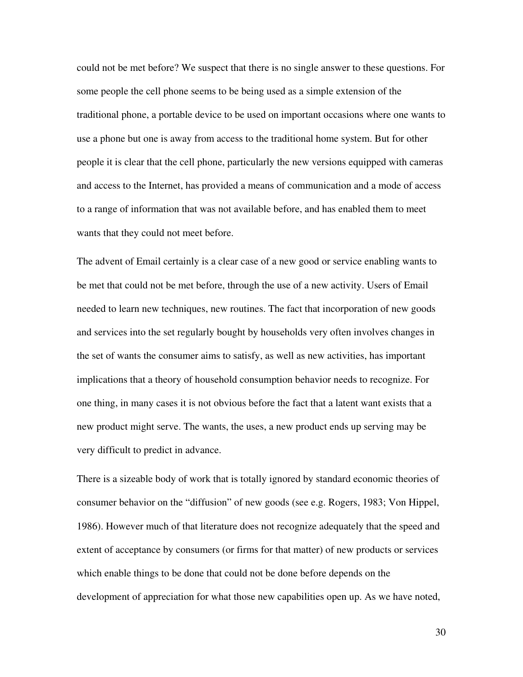could not be met before? We suspect that there is no single answer to these questions. For some people the cell phone seems to be being used as a simple extension of the traditional phone, a portable device to be used on important occasions where one wants to use a phone but one is away from access to the traditional home system. But for other people it is clear that the cell phone, particularly the new versions equipped with cameras and access to the Internet, has provided a means of communication and a mode of access to a range of information that was not available before, and has enabled them to meet wants that they could not meet before.

The advent of Email certainly is a clear case of a new good or service enabling wants to be met that could not be met before, through the use of a new activity. Users of Email needed to learn new techniques, new routines. The fact that incorporation of new goods and services into the set regularly bought by households very often involves changes in the set of wants the consumer aims to satisfy, as well as new activities, has important implications that a theory of household consumption behavior needs to recognize. For one thing, in many cases it is not obvious before the fact that a latent want exists that a new product might serve. The wants, the uses, a new product ends up serving may be very difficult to predict in advance.

There is a sizeable body of work that is totally ignored by standard economic theories of consumer behavior on the "diffusion" of new goods (see e.g. Rogers, 1983; Von Hippel, 1986). However much of that literature does not recognize adequately that the speed and extent of acceptance by consumers (or firms for that matter) of new products or services which enable things to be done that could not be done before depends on the development of appreciation for what those new capabilities open up. As we have noted,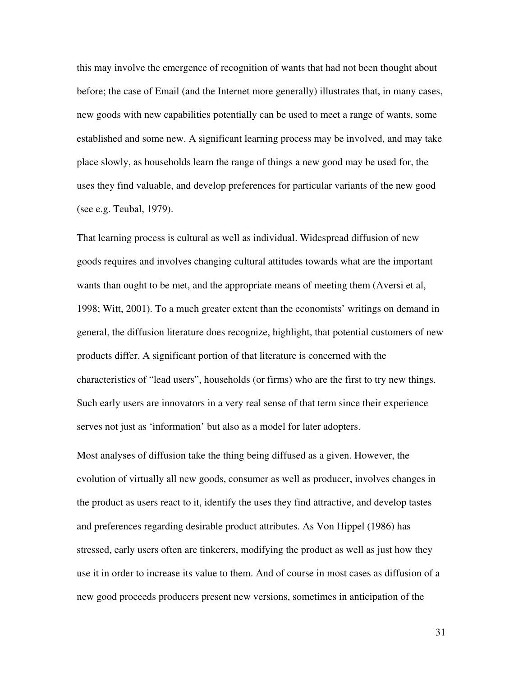this may involve the emergence of recognition of wants that had not been thought about before; the case of Email (and the Internet more generally) illustrates that, in many cases, new goods with new capabilities potentially can be used to meet a range of wants, some established and some new. A significant learning process may be involved, and may take place slowly, as households learn the range of things a new good may be used for, the uses they find valuable, and develop preferences for particular variants of the new good (see e.g. Teubal, 1979).

That learning process is cultural as well as individual. Widespread diffusion of new goods requires and involves changing cultural attitudes towards what are the important wants than ought to be met, and the appropriate means of meeting them (Aversi et al, 1998; Witt, 2001). To a much greater extent than the economists' writings on demand in general, the diffusion literature does recognize, highlight, that potential customers of new products differ. A significant portion of that literature is concerned with the characteristics of "lead users", households (or firms) who are the first to try new things. Such early users are innovators in a very real sense of that term since their experience serves not just as 'information' but also as a model for later adopters.

Most analyses of diffusion take the thing being diffused as a given. However, the evolution of virtually all new goods, consumer as well as producer, involves changes in the product as users react to it, identify the uses they find attractive, and develop tastes and preferences regarding desirable product attributes. As Von Hippel (1986) has stressed, early users often are tinkerers, modifying the product as well as just how they use it in order to increase its value to them. And of course in most cases as diffusion of a new good proceeds producers present new versions, sometimes in anticipation of the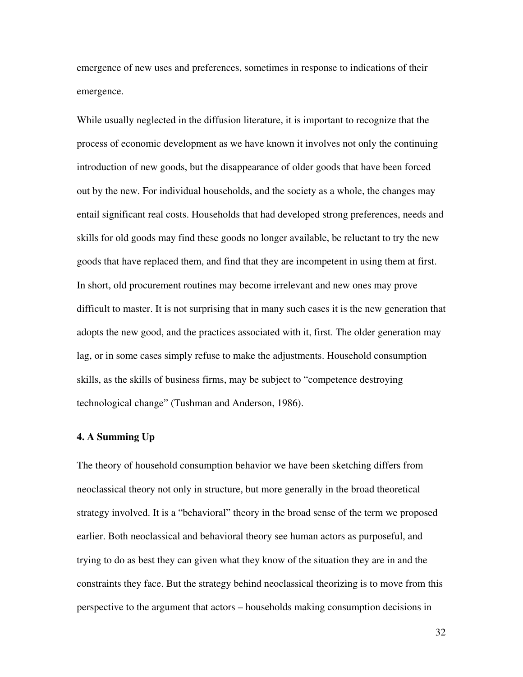emergence of new uses and preferences, sometimes in response to indications of their emergence.

While usually neglected in the diffusion literature, it is important to recognize that the process of economic development as we have known it involves not only the continuing introduction of new goods, but the disappearance of older goods that have been forced out by the new. For individual households, and the society as a whole, the changes may entail significant real costs. Households that had developed strong preferences, needs and skills for old goods may find these goods no longer available, be reluctant to try the new goods that have replaced them, and find that they are incompetent in using them at first. In short, old procurement routines may become irrelevant and new ones may prove difficult to master. It is not surprising that in many such cases it is the new generation that adopts the new good, and the practices associated with it, first. The older generation may lag, or in some cases simply refuse to make the adjustments. Household consumption skills, as the skills of business firms, may be subject to "competence destroying technological change" (Tushman and Anderson, 1986).

## **4. A Summing Up**

The theory of household consumption behavior we have been sketching differs from neoclassical theory not only in structure, but more generally in the broad theoretical strategy involved. It is a "behavioral" theory in the broad sense of the term we proposed earlier. Both neoclassical and behavioral theory see human actors as purposeful, and trying to do as best they can given what they know of the situation they are in and the constraints they face. But the strategy behind neoclassical theorizing is to move from this perspective to the argument that actors – households making consumption decisions in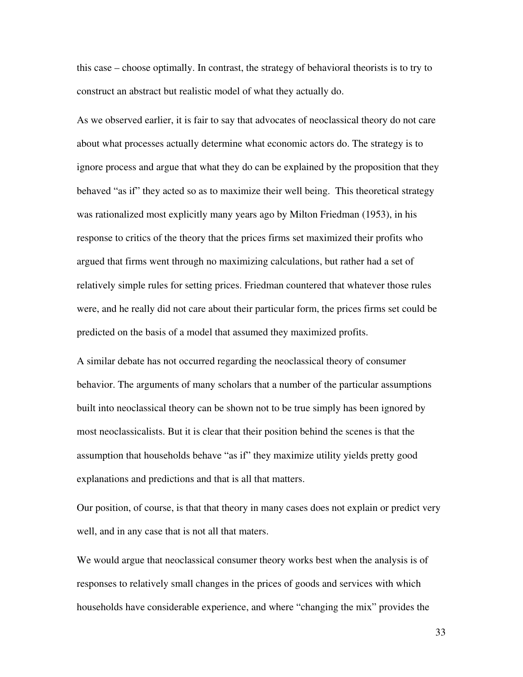this case – choose optimally. In contrast, the strategy of behavioral theorists is to try to construct an abstract but realistic model of what they actually do.

As we observed earlier, it is fair to say that advocates of neoclassical theory do not care about what processes actually determine what economic actors do. The strategy is to ignore process and argue that what they do can be explained by the proposition that they behaved "as if" they acted so as to maximize their well being. This theoretical strategy was rationalized most explicitly many years ago by Milton Friedman (1953), in his response to critics of the theory that the prices firms set maximized their profits who argued that firms went through no maximizing calculations, but rather had a set of relatively simple rules for setting prices. Friedman countered that whatever those rules were, and he really did not care about their particular form, the prices firms set could be predicted on the basis of a model that assumed they maximized profits.

A similar debate has not occurred regarding the neoclassical theory of consumer behavior. The arguments of many scholars that a number of the particular assumptions built into neoclassical theory can be shown not to be true simply has been ignored by most neoclassicalists. But it is clear that their position behind the scenes is that the assumption that households behave "as if" they maximize utility yields pretty good explanations and predictions and that is all that matters.

Our position, of course, is that that theory in many cases does not explain or predict very well, and in any case that is not all that maters.

We would argue that neoclassical consumer theory works best when the analysis is of responses to relatively small changes in the prices of goods and services with which households have considerable experience, and where "changing the mix" provides the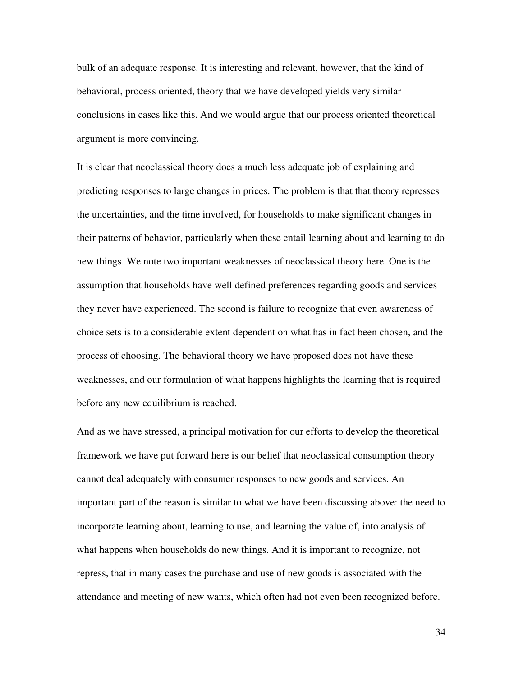bulk of an adequate response. It is interesting and relevant, however, that the kind of behavioral, process oriented, theory that we have developed yields very similar conclusions in cases like this. And we would argue that our process oriented theoretical argument is more convincing.

It is clear that neoclassical theory does a much less adequate job of explaining and predicting responses to large changes in prices. The problem is that that theory represses the uncertainties, and the time involved, for households to make significant changes in their patterns of behavior, particularly when these entail learning about and learning to do new things. We note two important weaknesses of neoclassical theory here. One is the assumption that households have well defined preferences regarding goods and services they never have experienced. The second is failure to recognize that even awareness of choice sets is to a considerable extent dependent on what has in fact been chosen, and the process of choosing. The behavioral theory we have proposed does not have these weaknesses, and our formulation of what happens highlights the learning that is required before any new equilibrium is reached.

And as we have stressed, a principal motivation for our efforts to develop the theoretical framework we have put forward here is our belief that neoclassical consumption theory cannot deal adequately with consumer responses to new goods and services. An important part of the reason is similar to what we have been discussing above: the need to incorporate learning about, learning to use, and learning the value of, into analysis of what happens when households do new things. And it is important to recognize, not repress, that in many cases the purchase and use of new goods is associated with the attendance and meeting of new wants, which often had not even been recognized before.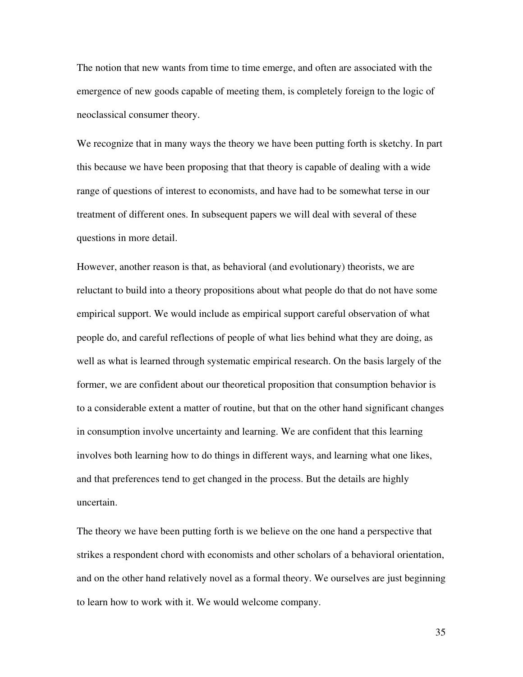The notion that new wants from time to time emerge, and often are associated with the emergence of new goods capable of meeting them, is completely foreign to the logic of neoclassical consumer theory.

We recognize that in many ways the theory we have been putting forth is sketchy. In part this because we have been proposing that that theory is capable of dealing with a wide range of questions of interest to economists, and have had to be somewhat terse in our treatment of different ones. In subsequent papers we will deal with several of these questions in more detail.

However, another reason is that, as behavioral (and evolutionary) theorists, we are reluctant to build into a theory propositions about what people do that do not have some empirical support. We would include as empirical support careful observation of what people do, and careful reflections of people of what lies behind what they are doing, as well as what is learned through systematic empirical research. On the basis largely of the former, we are confident about our theoretical proposition that consumption behavior is to a considerable extent a matter of routine, but that on the other hand significant changes in consumption involve uncertainty and learning. We are confident that this learning involves both learning how to do things in different ways, and learning what one likes, and that preferences tend to get changed in the process. But the details are highly uncertain.

The theory we have been putting forth is we believe on the one hand a perspective that strikes a respondent chord with economists and other scholars of a behavioral orientation, and on the other hand relatively novel as a formal theory. We ourselves are just beginning to learn how to work with it. We would welcome company.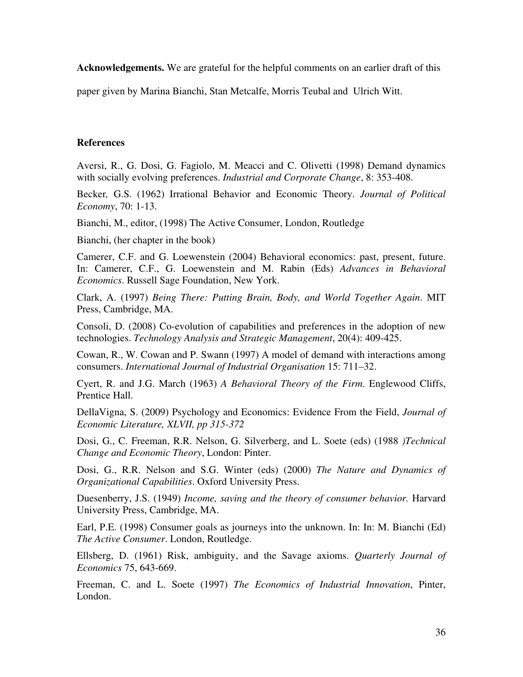**Acknowledgements.** We are grateful for the helpful comments on an earlier draft of this

paper given by Marina Bianchi, Stan Metcalfe, Morris Teubal and Ulrich Witt.

# **References**

Aversi, R., G. Dosi, G. Fagiolo, M. Meacci and C. Olivetti (1998) Demand dynamics with socially evolving preferences. *Industrial and Corporate Change*, 8: 353-408.

Becker*,* G.S. (1962) Irrational Behavior and Economic Theory. *Journal of Political Economy*, 70: 1-13.

Bianchi, M., editor, (1998) The Active Consumer, London, Routledge

Bianchi, (her chapter in the book)

Camerer, C.F. and G. Loewenstein (2004) Behavioral economics: past, present, future. In: Camerer, C.F., G. Loewenstein and M. Rabin (Eds) *Advances in Behavioral Economics*. Russell Sage Foundation, New York.

Clark, A. (1997) *Being There: Putting Brain, Body, and World Together Again*. MIT Press, Cambridge, MA.

Consoli, D. (2008) Co-evolution of capabilities and preferences in the adoption of new technologies. *Technology Analysis and Strategic Management*, 20(4): 409-425.

Cowan, R., W. Cowan and P. Swann (1997) A model of demand with interactions among consumers. *International Journal of Industrial Organisation* 15: 711–32.

Cyert, R. and J.G. March (1963) *A Behavioral Theory of the Firm*. Englewood Cliffs, Prentice Hall.

DellaVigna, S. (2009) Psychology and Economics: Evidence From the Field, *Journal of Economic Literature, XLVII, pp 315-372*

Dosi, G., C. Freeman, R.R. Nelson, G. Silverberg, and L. Soete (eds) (1988 *)Technical Change and Economic Theory*, London: Pinter.

Dosi, G., R.R. Nelson and S.G. Winter (eds) (2000) *The Nature and Dynamics of Organizational Capabilities*. Oxford University Press.

Duesenberry, J.S. (1949) *Income, saving and the theory of consumer behavior.* Harvard University Press, Cambridge, MA.

Earl, P.E. (1998) Consumer goals as journeys into the unknown. In: In: M. Bianchi (Ed) *The Active Consumer*. London, Routledge.

Ellsberg, D. (1961) Risk, ambiguity, and the Savage axioms. *Quarterly Journal of Economics* 75, 643-669.

Freeman, C. and L. Soete (1997) *The Economics of Industrial Innovation*, Pinter, London.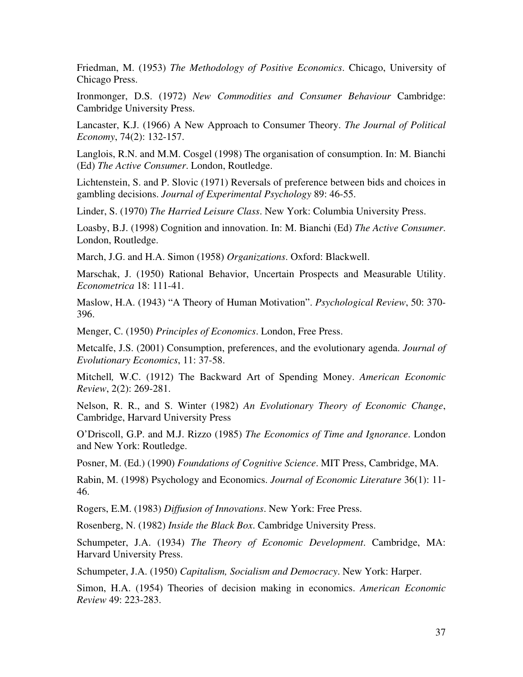Friedman, M. (1953) *The Methodology of Positive Economics*. Chicago, University of Chicago Press.

Ironmonger, D.S. (1972) *New Commodities and Consumer Behaviour* Cambridge: Cambridge University Press.

Lancaster, K.J. (1966) A New Approach to Consumer Theory. *The Journal of Political Economy*, 74(2): 132-157.

Langlois, R.N. and M.M. Cosgel (1998) The organisation of consumption. In: M. Bianchi (Ed) *The Active Consumer*. London, Routledge.

Lichtenstein, S. and P. Slovic (1971) Reversals of preference between bids and choices in gambling decisions. *Journal of Experimental Psychology* 89: 46-55.

Linder, S. (1970) *The Harried Leisure Class*. New York: Columbia University Press.

Loasby, B.J. (1998) Cognition and innovation. In: M. Bianchi (Ed) *The Active Consumer*. London, Routledge.

March, J.G. and H.A. Simon (1958) *Organizations*. Oxford: Blackwell.

Marschak, J. (1950) Rational Behavior, Uncertain Prospects and Measurable Utility. *Econometrica* 18: 111-41.

Maslow, H.A. (1943) "A Theory of Human Motivation". *Psychological Review*, 50: 370- 396.

Menger, C. (1950) *Principles of Economics*. London, Free Press.

Metcalfe, J.S. (2001) Consumption, preferences, and the evolutionary agenda. *Journal of Evolutionary Economics*, 11: 37-58.

Mitchell*,* W.C. (1912) The Backward Art of Spending Money. *American Economic Review*, 2(2): 269-281.

Nelson, R. R., and S. Winter (1982) *An Evolutionary Theory of Economic Change*, Cambridge, Harvard University Press

O'Driscoll, G.P. and M.J. Rizzo (1985) *The Economics of Time and Ignorance*. London and New York: Routledge.

Posner, M. (Ed.) (1990) *Foundations of Cognitive Science*. MIT Press, Cambridge, MA.

Rabin, M. (1998) Psychology and Economics. *Journal of Economic Literature* 36(1): 11- 46.

Rogers, E.M. (1983) *Diffusion of Innovations*. New York: Free Press.

Rosenberg, N. (1982) *Inside the Black Box*. Cambridge University Press.

Schumpeter, J.A. (1934) *The Theory of Economic Development*. Cambridge, MA: Harvard University Press.

Schumpeter, J.A. (1950) *Capitalism, Socialism and Democracy*. New York: Harper.

Simon, H.A. (1954) Theories of decision making in economics. *American Economic Review* 49: 223-283.